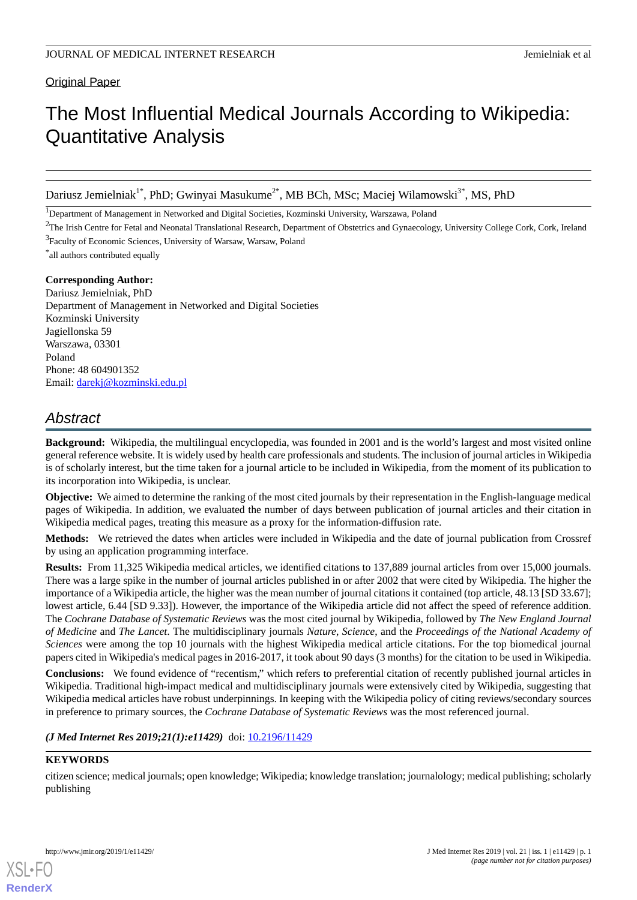#### **Original Paper**

# The Most Influential Medical Journals According to Wikipedia: Quantitative Analysis

Dariusz Jemielniak<sup>1\*</sup>, PhD; Gwinyai Masukume<sup>2\*</sup>, MB BCh, MSc; Maciej Wilamowski<sup>3\*</sup>, MS, PhD

<sup>1</sup>Department of Management in Networked and Digital Societies, Kozminski University, Warszawa, Poland

<sup>2</sup>The Irish Centre for Fetal and Neonatal Translational Research, Department of Obstetrics and Gynaecology, University College Cork, Cork, Ireland <sup>3</sup>Faculty of Economic Sciences, University of Warsaw, Warsaw, Poland

\* all authors contributed equally

#### **Corresponding Author:**

Dariusz Jemielniak, PhD Department of Management in Networked and Digital Societies Kozminski University Jagiellonska 59 Warszawa, 03301 Poland Phone: 48 604901352 Email: [darekj@kozminski.edu.pl](mailto:darekj@kozminski.edu.pl)

# *Abstract*

**Background:** Wikipedia, the multilingual encyclopedia, was founded in 2001 and is the world's largest and most visited online general reference website. It is widely used by health care professionals and students. The inclusion of journal articles in Wikipedia is of scholarly interest, but the time taken for a journal article to be included in Wikipedia, from the moment of its publication to its incorporation into Wikipedia, is unclear.

**Objective:** We aimed to determine the ranking of the most cited journals by their representation in the English-language medical pages of Wikipedia. In addition, we evaluated the number of days between publication of journal articles and their citation in Wikipedia medical pages, treating this measure as a proxy for the information-diffusion rate.

**Methods:** We retrieved the dates when articles were included in Wikipedia and the date of journal publication from Crossref by using an application programming interface.

**Results:** From 11,325 Wikipedia medical articles, we identified citations to 137,889 journal articles from over 15,000 journals. There was a large spike in the number of journal articles published in or after 2002 that were cited by Wikipedia. The higher the importance of a Wikipedia article, the higher was the mean number of journal citations it contained (top article, 48.13 [SD 33.67]; lowest article, 6.44 [SD 9.33]). However, the importance of the Wikipedia article did not affect the speed of reference addition. The *Cochrane Database of Systematic Reviews* was the most cited journal by Wikipedia, followed by *The New England Journal of Medicine* and *The Lancet*. The multidisciplinary journals *Nature*, *Science*, and the *Proceedings of the National Academy of Sciences* were among the top 10 journals with the highest Wikipedia medical article citations. For the top biomedical journal papers cited in Wikipedia's medical pages in 2016-2017, it took about 90 days (3 months) for the citation to be used in Wikipedia.

**Conclusions:** We found evidence of "recentism," which refers to preferential citation of recently published journal articles in Wikipedia. Traditional high-impact medical and multidisciplinary journals were extensively cited by Wikipedia, suggesting that Wikipedia medical articles have robust underpinnings. In keeping with the Wikipedia policy of citing reviews/secondary sources in preference to primary sources, the *Cochrane Database of Systematic Reviews* was the most referenced journal.

*(J Med Internet Res 2019;21(1):e11429)* doi:  $10.2196/11429$ 

#### **KEYWORDS**

citizen science; medical journals; open knowledge; Wikipedia; knowledge translation; journalology; medical publishing; scholarly publishing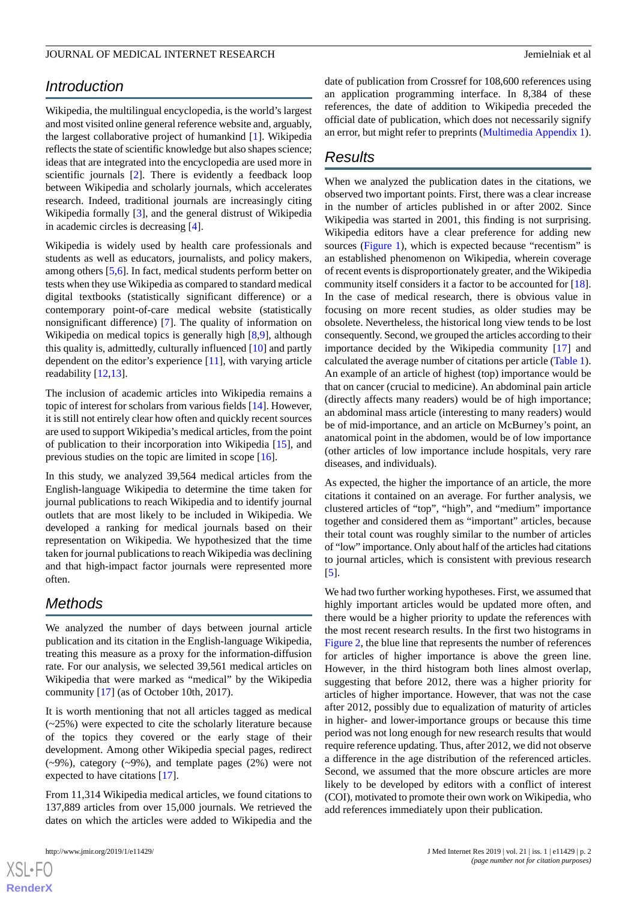# *Introduction*

Wikipedia, the multilingual encyclopedia, is the world's largest and most visited online general reference website and, arguably, the largest collaborative project of humankind [\[1](#page-8-0)]. Wikipedia reflects the state of scientific knowledge but also shapes science; ideas that are integrated into the encyclopedia are used more in scientific journals [[2\]](#page-8-1). There is evidently a feedback loop between Wikipedia and scholarly journals, which accelerates research. Indeed, traditional journals are increasingly citing Wikipedia formally [[3\]](#page-8-2), and the general distrust of Wikipedia in academic circles is decreasing [\[4](#page-8-3)].

Wikipedia is widely used by health care professionals and students as well as educators, journalists, and policy makers, among others [\[5](#page-8-4),[6\]](#page-8-5). In fact, medical students perform better on tests when they use Wikipedia as compared to standard medical digital textbooks (statistically significant difference) or a contemporary point-of-care medical website (statistically nonsignificant difference) [[7\]](#page-8-6). The quality of information on Wikipedia on medical topics is generally high [\[8](#page-8-7),[9\]](#page-9-0), although this quality is, admittedly, culturally influenced [\[10](#page-9-1)] and partly dependent on the editor's experience [\[11](#page-9-2)], with varying article readability [\[12](#page-9-3),[13\]](#page-9-4).

The inclusion of academic articles into Wikipedia remains a topic of interest for scholars from various fields [[14\]](#page-9-5). However, it is still not entirely clear how often and quickly recent sources are used to support Wikipedia's medical articles, from the point of publication to their incorporation into Wikipedia [\[15](#page-9-6)], and previous studies on the topic are limited in scope [[16\]](#page-9-7).

In this study, we analyzed 39,564 medical articles from the English-language Wikipedia to determine the time taken for journal publications to reach Wikipedia and to identify journal outlets that are most likely to be included in Wikipedia. We developed a ranking for medical journals based on their representation on Wikipedia. We hypothesized that the time taken for journal publications to reach Wikipedia was declining and that high-impact factor journals were represented more often.

## *Methods*

We analyzed the number of days between journal article publication and its citation in the English-language Wikipedia, treating this measure as a proxy for the information-diffusion rate. For our analysis, we selected 39,561 medical articles on Wikipedia that were marked as "medical" by the Wikipedia community [[17\]](#page-9-8) (as of October 10th, 2017).

It is worth mentioning that not all articles tagged as medical (~25%) were expected to cite the scholarly literature because of the topics they covered or the early stage of their development. Among other Wikipedia special pages, redirect (~9%), category (~9%), and template pages (2%) were not expected to have citations [\[17](#page-9-8)].

From 11,314 Wikipedia medical articles, we found citations to 137,889 articles from over 15,000 journals. We retrieved the dates on which the articles were added to Wikipedia and the

 $XS$ -FO **[RenderX](http://www.renderx.com/)** date of publication from Crossref for 108,600 references using an application programming interface. In 8,384 of these references, the date of addition to Wikipedia preceded the official date of publication, which does not necessarily signify an error, but might refer to preprints [\(Multimedia Appendix 1\)](#page-8-8).

# *Results*

When we analyzed the publication dates in the citations, we observed two important points. First, there was a clear increase in the number of articles published in or after 2002. Since Wikipedia was started in 2001, this finding is not surprising. Wikipedia editors have a clear preference for adding new sources [\(Figure 1\)](#page-2-0), which is expected because "recentism" is an established phenomenon on Wikipedia, wherein coverage of recent events is disproportionately greater, and the Wikipedia community itself considers it a factor to be accounted for [[18\]](#page-9-9). In the case of medical research, there is obvious value in focusing on more recent studies, as older studies may be obsolete. Nevertheless, the historical long view tends to be lost consequently. Second, we grouped the articles according to their importance decided by the Wikipedia community [\[17](#page-9-8)] and calculated the average number of citations per article ([Table 1\)](#page-2-1). An example of an article of highest (top) importance would be that on cancer (crucial to medicine). An abdominal pain article (directly affects many readers) would be of high importance; an abdominal mass article (interesting to many readers) would be of mid-importance, and an article on McBurney's point, an anatomical point in the abdomen, would be of low importance (other articles of low importance include hospitals, very rare diseases, and individuals).

As expected, the higher the importance of an article, the more citations it contained on an average. For further analysis, we clustered articles of "top", "high", and "medium" importance together and considered them as "important" articles, because their total count was roughly similar to the number of articles of "low" importance. Only about half of the articles had citations to journal articles, which is consistent with previous research [[5\]](#page-8-4).

We had two further working hypotheses. First, we assumed that highly important articles would be updated more often, and there would be a higher priority to update the references with the most recent research results. In the first two histograms in [Figure 2](#page-2-2), the blue line that represents the number of references for articles of higher importance is above the green line. However, in the third histogram both lines almost overlap, suggesting that before 2012, there was a higher priority for articles of higher importance. However, that was not the case after 2012, possibly due to equalization of maturity of articles in higher- and lower-importance groups or because this time period was not long enough for new research results that would require reference updating. Thus, after 2012, we did not observe a difference in the age distribution of the referenced articles. Second, we assumed that the more obscure articles are more likely to be developed by editors with a conflict of interest (COI), motivated to promote their own work on Wikipedia, who add references immediately upon their publication.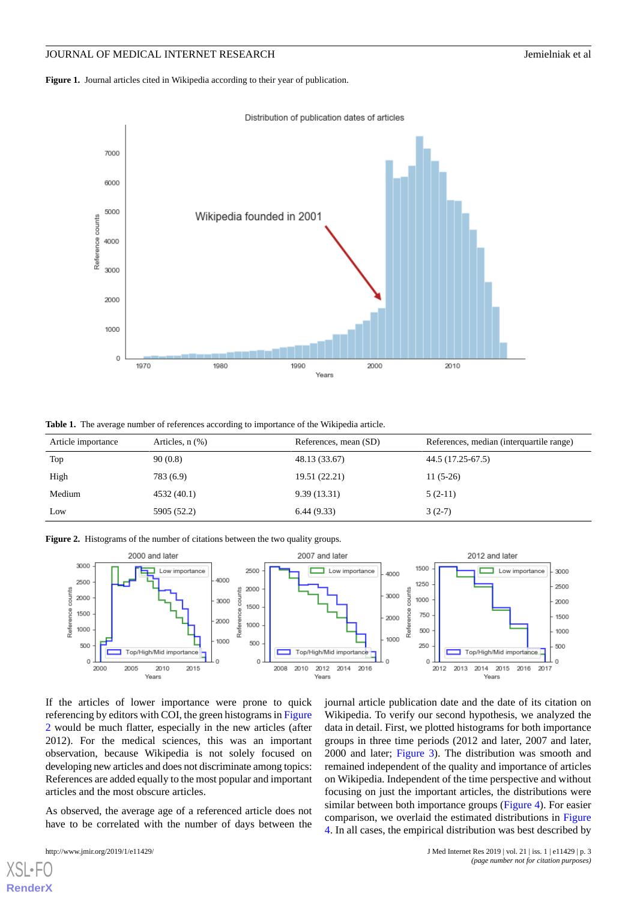<span id="page-2-0"></span>Figure 1. Journal articles cited in Wikipedia according to their year of publication.





<span id="page-2-1"></span>**Table 1.** The average number of references according to importance of the Wikipedia article.

<span id="page-2-2"></span>

| Article importance | Articles, $n$ $(\%)$ | References, mean (SD) | References, median (interquartile range) |
|--------------------|----------------------|-----------------------|------------------------------------------|
| Top                | 90(0.8)              | 48.13 (33.67)         | 44.5 (17.25-67.5)                        |
| High               | 783 (6.9)            | 19.51 (22.21)         | $11(5-26)$                               |
| Medium             | 4532 (40.1)          | 9.39(13.31)           | $5(2-11)$                                |
| Low                | 5905 (52.2)          | 6.44(9.33)            | $3(2-7)$                                 |

**Figure 2.** Histograms of the number of citations between the two quality groups.



If the articles of lower importance were prone to quick referencing by editors with COI, the green histograms in [Figure](#page-2-2) [2](#page-2-2) would be much flatter, especially in the new articles (after 2012). For the medical sciences, this was an important observation, because Wikipedia is not solely focused on developing new articles and does not discriminate among topics: References are added equally to the most popular and important articles and the most obscure articles.

As observed, the average age of a referenced article does not have to be correlated with the number of days between the

[XSL](http://www.w3.org/Style/XSL)•FO **[RenderX](http://www.renderx.com/)**

journal article publication date and the date of its citation on Wikipedia. To verify our second hypothesis, we analyzed the data in detail. First, we plotted histograms for both importance groups in three time periods (2012 and later, 2007 and later, 2000 and later; [Figure 3\)](#page-3-0). The distribution was smooth and remained independent of the quality and importance of articles on Wikipedia. Independent of the time perspective and without focusing on just the important articles, the distributions were similar between both importance groups ([Figure 4\)](#page-4-0). For easier comparison, we overlaid the estimated distributions in [Figure](#page-4-0) [4.](#page-4-0) In all cases, the empirical distribution was best described by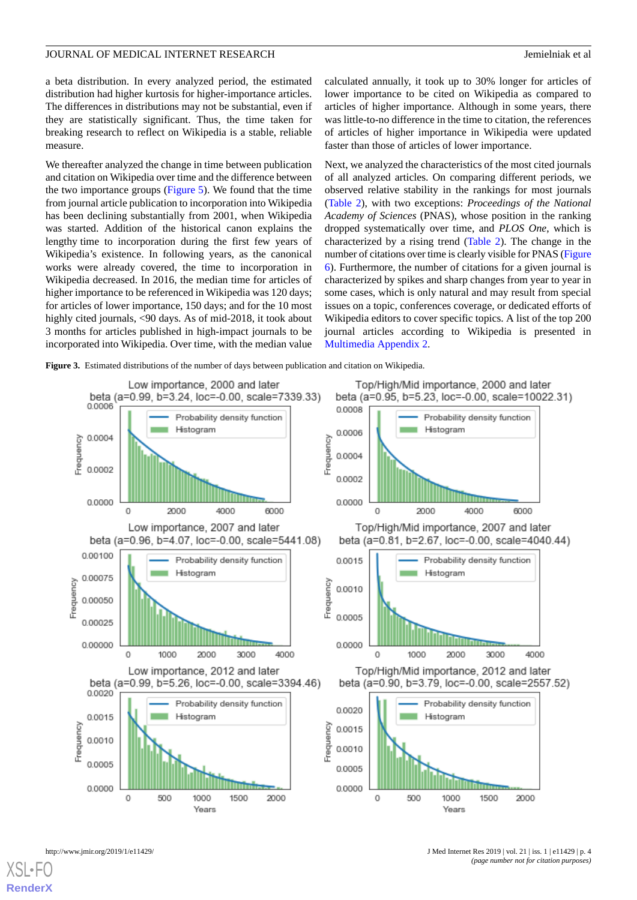a beta distribution. In every analyzed period, the estimated distribution had higher kurtosis for higher-importance articles. The differences in distributions may not be substantial, even if they are statistically significant. Thus, the time taken for breaking research to reflect on Wikipedia is a stable, reliable measure.

We thereafter analyzed the change in time between publication and citation on Wikipedia over time and the difference between the two importance groups [\(Figure 5](#page-4-1)). We found that the time from journal article publication to incorporation into Wikipedia has been declining substantially from 2001, when Wikipedia was started. Addition of the historical canon explains the lengthy time to incorporation during the first few years of Wikipedia's existence. In following years, as the canonical works were already covered, the time to incorporation in Wikipedia decreased. In 2016, the median time for articles of higher importance to be referenced in Wikipedia was 120 days; for articles of lower importance, 150 days; and for the 10 most highly cited journals, <90 days. As of mid-2018, it took about 3 months for articles published in high-impact journals to be incorporated into Wikipedia. Over time, with the median value

calculated annually, it took up to 30% longer for articles of lower importance to be cited on Wikipedia as compared to articles of higher importance. Although in some years, there was little-to-no difference in the time to citation, the references of articles of higher importance in Wikipedia were updated faster than those of articles of lower importance.

Next, we analyzed the characteristics of the most cited journals of all analyzed articles. On comparing different periods, we observed relative stability in the rankings for most journals ([Table 2\)](#page-5-0), with two exceptions: *Proceedings of the National Academy of Sciences* (PNAS), whose position in the ranking dropped systematically over time, and *PLOS One*, which is characterized by a rising trend [\(Table 2\)](#page-5-0). The change in the number of citations over time is clearly visible for PNAS [\(Figure](#page-6-0) [6\)](#page-6-0). Furthermore, the number of citations for a given journal is characterized by spikes and sharp changes from year to year in some cases, which is only natural and may result from special issues on a topic, conferences coverage, or dedicated efforts of Wikipedia editors to cover specific topics. A list of the top 200 journal articles according to Wikipedia is presented in [Multimedia Appendix 2.](#page-8-9)

<span id="page-3-0"></span>**Figure 3.** Estimated distributions of the number of days between publication and citation on Wikipedia.

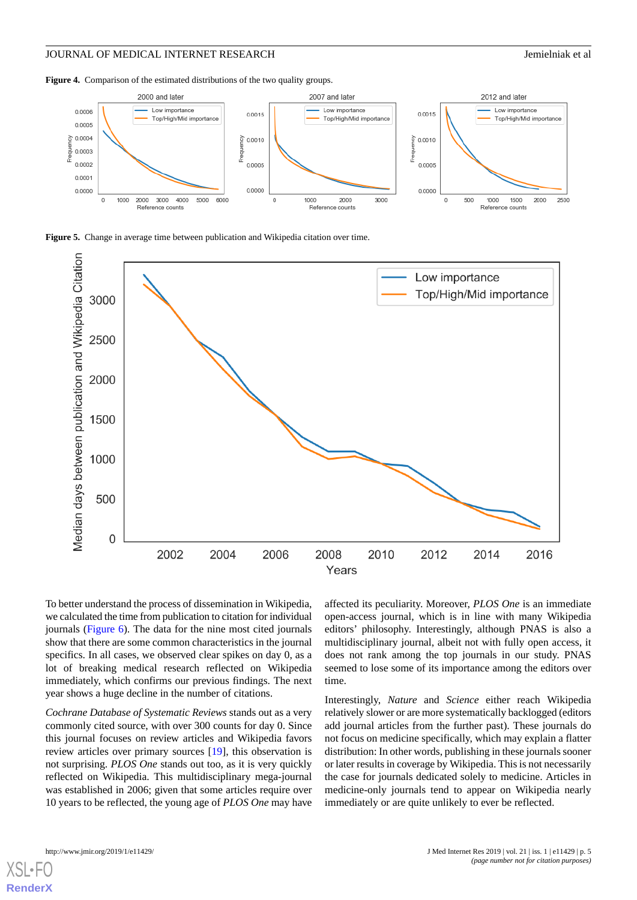<span id="page-4-0"></span>Figure 4. Comparison of the estimated distributions of the two quality groups.



<span id="page-4-1"></span>**Figure 5.** Change in average time between publication and Wikipedia citation over time.



To better understand the process of dissemination in Wikipedia, we calculated the time from publication to citation for individual journals [\(Figure 6\)](#page-6-0). The data for the nine most cited journals show that there are some common characteristics in the journal specifics. In all cases, we observed clear spikes on day 0, as a lot of breaking medical research reflected on Wikipedia immediately, which confirms our previous findings. The next year shows a huge decline in the number of citations.

*Cochrane Database of Systematic Reviews* stands out as a very commonly cited source, with over 300 counts for day 0. Since this journal focuses on review articles and Wikipedia favors review articles over primary sources [[19\]](#page-9-10), this observation is not surprising. *PLOS One* stands out too, as it is very quickly reflected on Wikipedia. This multidisciplinary mega-journal was established in 2006; given that some articles require over 10 years to be reflected, the young age of *PLOS One* may have

affected its peculiarity. Moreover, *PLOS One* is an immediate open-access journal, which is in line with many Wikipedia editors' philosophy. Interestingly, although PNAS is also a multidisciplinary journal, albeit not with fully open access, it does not rank among the top journals in our study. PNAS seemed to lose some of its importance among the editors over time.

Interestingly, *Nature* and *Science* either reach Wikipedia relatively slower or are more systematically backlogged (editors add journal articles from the further past). These journals do not focus on medicine specifically, which may explain a flatter distribution: In other words, publishing in these journals sooner or later results in coverage by Wikipedia. This is not necessarily the case for journals dedicated solely to medicine. Articles in medicine-only journals tend to appear on Wikipedia nearly immediately or are quite unlikely to ever be reflected.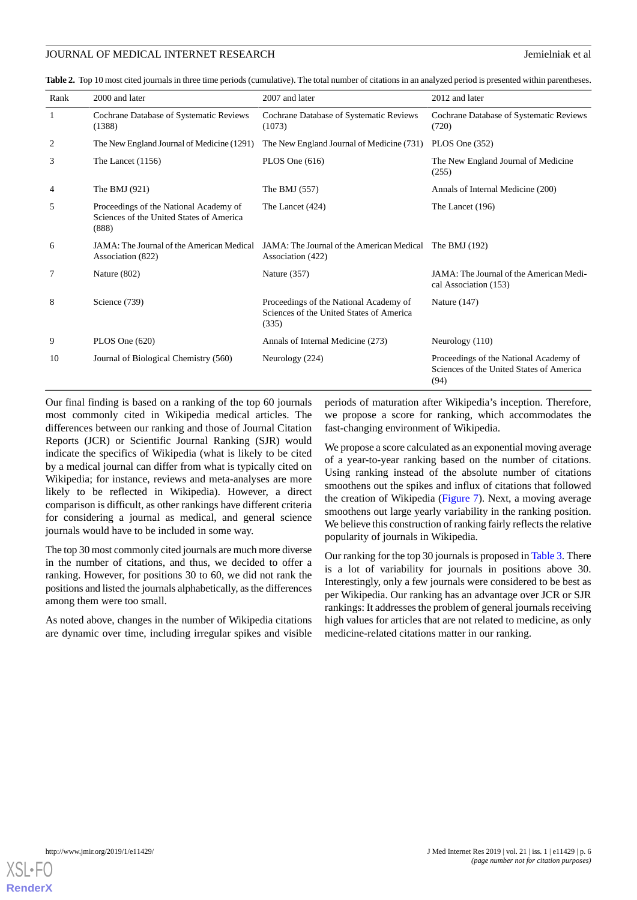<span id="page-5-0"></span>**Table 2.** Top 10 most cited journals in three time periods (cumulative). The total number of citations in an analyzed period is presented within parentheses.

| Rank | 2000 and later                                                                              | 2007 and later                                                                              | 2012 and later                                                                             |
|------|---------------------------------------------------------------------------------------------|---------------------------------------------------------------------------------------------|--------------------------------------------------------------------------------------------|
| 1    | Cochrane Database of Systematic Reviews<br>(1388)                                           | Cochrane Database of Systematic Reviews<br>(1073)                                           | Cochrane Database of Systematic Reviews<br>(720)                                           |
| 2    | The New England Journal of Medicine (1291)                                                  | The New England Journal of Medicine (731)                                                   | PLOS One $(352)$                                                                           |
| 3    | The Lancet $(1156)$                                                                         | PLOS One $(616)$                                                                            | The New England Journal of Medicine<br>(255)                                               |
| 4    | The BMJ $(921)$                                                                             | The BMJ $(557)$                                                                             | Annals of Internal Medicine (200)                                                          |
| 5    | Proceedings of the National Academy of<br>Sciences of the United States of America<br>(888) | The Lancet (424)                                                                            | The Lancet (196)                                                                           |
| 6    | JAMA: The Journal of the American Medical<br>Association (822)                              | JAMA: The Journal of the American Medical<br>Association (422)                              | The BMJ $(192)$                                                                            |
| 7    | Nature (802)                                                                                | Nature (357)                                                                                | JAMA: The Journal of the American Medi-<br>cal Association (153)                           |
| 8    | Science (739)                                                                               | Proceedings of the National Academy of<br>Sciences of the United States of America<br>(335) | Nature (147)                                                                               |
| 9    | PLOS One $(620)$                                                                            | Annals of Internal Medicine (273)                                                           | Neurology (110)                                                                            |
| 10   | Journal of Biological Chemistry (560)                                                       | Neurology (224)                                                                             | Proceedings of the National Academy of<br>Sciences of the United States of America<br>(94) |

Our final finding is based on a ranking of the top 60 journals most commonly cited in Wikipedia medical articles. The differences between our ranking and those of Journal Citation Reports (JCR) or Scientific Journal Ranking (SJR) would indicate the specifics of Wikipedia (what is likely to be cited by a medical journal can differ from what is typically cited on Wikipedia; for instance, reviews and meta-analyses are more likely to be reflected in Wikipedia). However, a direct comparison is difficult, as other rankings have different criteria for considering a journal as medical, and general science journals would have to be included in some way.

The top 30 most commonly cited journals are much more diverse in the number of citations, and thus, we decided to offer a ranking. However, for positions 30 to 60, we did not rank the positions and listed the journals alphabetically, as the differences among them were too small.

As noted above, changes in the number of Wikipedia citations are dynamic over time, including irregular spikes and visible

periods of maturation after Wikipedia's inception. Therefore, we propose a score for ranking, which accommodates the fast-changing environment of Wikipedia.

We propose a score calculated as an exponential moving average of a year-to-year ranking based on the number of citations. Using ranking instead of the absolute number of citations smoothens out the spikes and influx of citations that followed the creation of Wikipedia [\(Figure 7](#page-6-1)). Next, a moving average smoothens out large yearly variability in the ranking position. We believe this construction of ranking fairly reflects the relative popularity of journals in Wikipedia.

Our ranking for the top 30 journals is proposed in [Table 3](#page-7-0). There is a lot of variability for journals in positions above 30. Interestingly, only a few journals were considered to be best as per Wikipedia. Our ranking has an advantage over JCR or SJR rankings: It addresses the problem of general journals receiving high values for articles that are not related to medicine, as only medicine-related citations matter in our ranking.

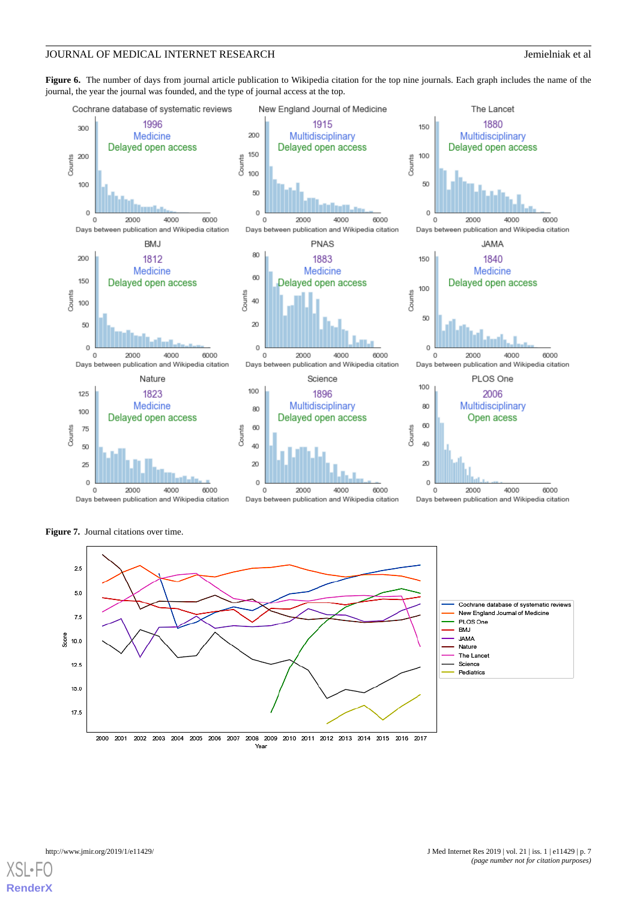<span id="page-6-0"></span>**Figure 6.** The number of days from journal article publication to Wikipedia citation for the top nine journals. Each graph includes the name of the journal, the year the journal was founded, and the type of journal access at the top.



<span id="page-6-1"></span>**Figure 7.** Journal citations over time.



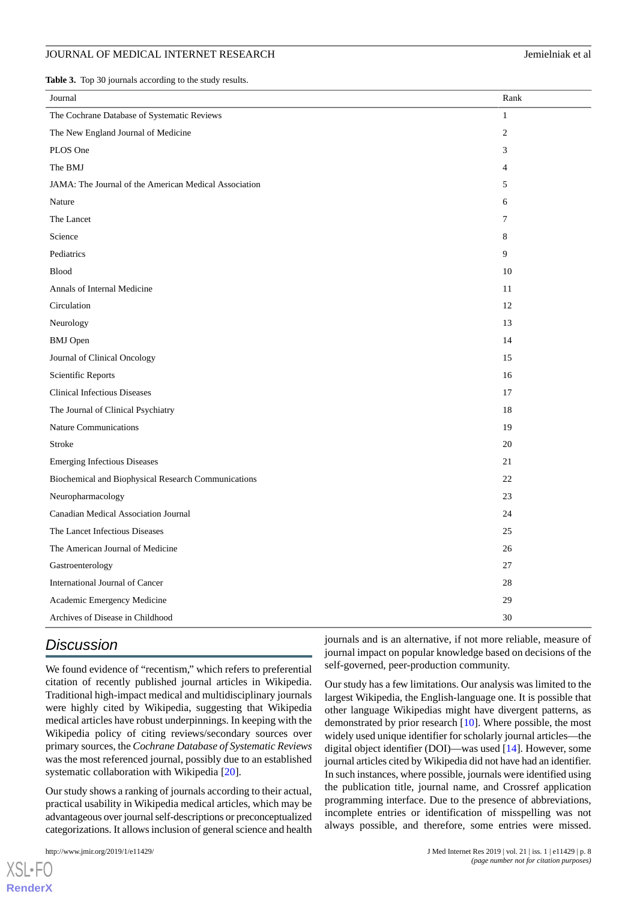<span id="page-7-0"></span>**Table 3.** Top 30 journals according to the study results.

| Journal                                               | Rank           |
|-------------------------------------------------------|----------------|
| The Cochrane Database of Systematic Reviews           | $\mathbf{1}$   |
| The New England Journal of Medicine                   | $\overline{c}$ |
| PLOS One                                              | 3              |
| The BMJ                                               | 4              |
| JAMA: The Journal of the American Medical Association | 5              |
| Nature                                                | 6              |
| The Lancet                                            | 7              |
| Science                                               | 8              |
| Pediatrics                                            | 9              |
| <b>Blood</b>                                          | 10             |
| Annals of Internal Medicine                           | 11             |
| Circulation                                           | 12             |
| Neurology                                             | 13             |
| <b>BMJ</b> Open                                       | 14             |
| Journal of Clinical Oncology                          | 15             |
| Scientific Reports                                    | 16             |
| <b>Clinical Infectious Diseases</b>                   | 17             |
| The Journal of Clinical Psychiatry                    | 18             |
| <b>Nature Communications</b>                          | 19             |
| Stroke                                                | 20             |
| <b>Emerging Infectious Diseases</b>                   | 21             |
| Biochemical and Biophysical Research Communications   | 22             |
| Neuropharmacology                                     | 23             |
| Canadian Medical Association Journal                  | 24             |
| The Lancet Infectious Diseases                        | 25             |
| The American Journal of Medicine                      | 26             |
| Gastroenterology                                      | 27             |
| International Journal of Cancer                       | 28             |
| Academic Emergency Medicine                           | 29             |
| Archives of Disease in Childhood                      | 30             |

# *Discussion*

We found evidence of "recentism," which refers to preferential citation of recently published journal articles in Wikipedia. Traditional high-impact medical and multidisciplinary journals were highly cited by Wikipedia, suggesting that Wikipedia medical articles have robust underpinnings. In keeping with the Wikipedia policy of citing reviews/secondary sources over primary sources, the *Cochrane Database of Systematic Reviews* was the most referenced journal, possibly due to an established systematic collaboration with Wikipedia [[20\]](#page-9-11).

Our study shows a ranking of journals according to their actual, practical usability in Wikipedia medical articles, which may be advantageous over journal self-descriptions or preconceptualized categorizations. It allows inclusion of general science and health

 $XS$  • FO **[RenderX](http://www.renderx.com/)** journals and is an alternative, if not more reliable, measure of journal impact on popular knowledge based on decisions of the self-governed, peer-production community.

Our study has a few limitations. Our analysis was limited to the largest Wikipedia, the English-language one. It is possible that other language Wikipedias might have divergent patterns, as demonstrated by prior research [[10\]](#page-9-1). Where possible, the most widely used unique identifier for scholarly journal articles—the digital object identifier (DOI)—was used [\[14](#page-9-5)]. However, some journal articles cited by Wikipedia did not have had an identifier. In such instances, where possible, journals were identified using the publication title, journal name, and Crossref application programming interface. Due to the presence of abbreviations, incomplete entries or identification of misspelling was not always possible, and therefore, some entries were missed.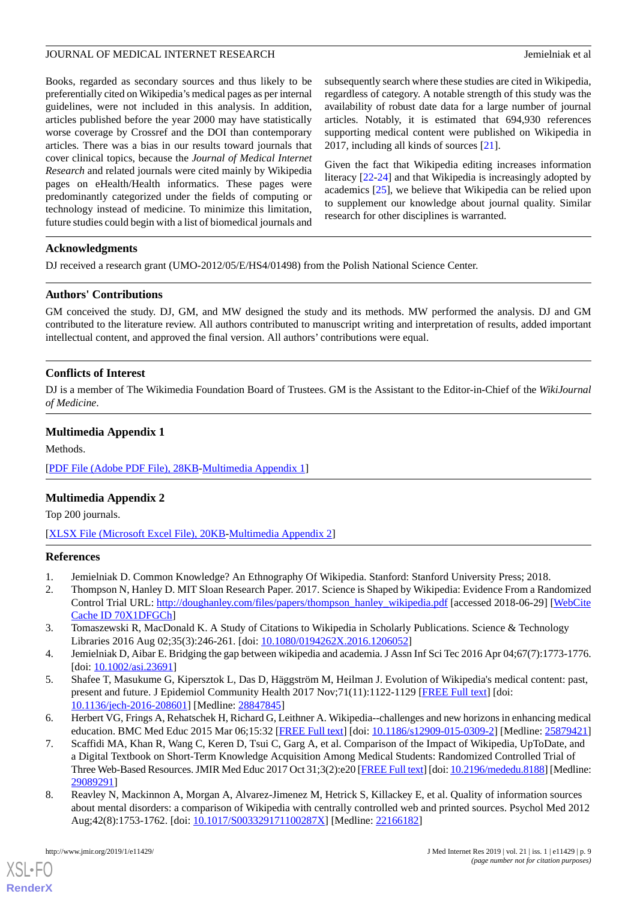Books, regarded as secondary sources and thus likely to be preferentially cited on Wikipedia's medical pages as per internal guidelines, were not included in this analysis. In addition, articles published before the year 2000 may have statistically worse coverage by Crossref and the DOI than contemporary articles. There was a bias in our results toward journals that cover clinical topics, because the *Journal of Medical Internet Research* and related journals were cited mainly by Wikipedia pages on eHealth/Health informatics. These pages were predominantly categorized under the fields of computing or technology instead of medicine. To minimize this limitation, future studies could begin with a list of biomedical journals and

subsequently search where these studies are cited in Wikipedia, regardless of category. A notable strength of this study was the availability of robust date data for a large number of journal articles. Notably, it is estimated that 694,930 references supporting medical content were published on Wikipedia in 2017, including all kinds of sources [\[21](#page-9-12)].

Given the fact that Wikipedia editing increases information literacy [[22-](#page-9-13)[24\]](#page-9-14) and that Wikipedia is increasingly adopted by academics [[25\]](#page-9-15), we believe that Wikipedia can be relied upon to supplement our knowledge about journal quality. Similar research for other disciplines is warranted.

#### **Acknowledgments**

DJ received a research grant (UMO-2012/05/E/HS4/01498) from the Polish National Science Center.

#### **Authors' Contributions**

GM conceived the study. DJ, GM, and MW designed the study and its methods. MW performed the analysis. DJ and GM contributed to the literature review. All authors contributed to manuscript writing and interpretation of results, added important intellectual content, and approved the final version. All authors' contributions were equal.

#### **Conflicts of Interest**

<span id="page-8-8"></span>DJ is a member of The Wikimedia Foundation Board of Trustees. GM is the Assistant to the Editor-in-Chief of the *WikiJournal of Medicine*.

#### **Multimedia Appendix 1**

<span id="page-8-9"></span>Methods.

[[PDF File \(Adobe PDF File\), 28KB-Multimedia Appendix 1](https://jmir.org/api/download?alt_name=jmir_v21i1e11429_app1.pdf)]

### **Multimedia Appendix 2**

<span id="page-8-0"></span>Top 200 journals.

<span id="page-8-1"></span>[[XLSX File \(Microsoft Excel File\), 20KB-Multimedia Appendix 2](https://jmir.org/api/download?alt_name=jmir_v21i1e11429_app2.xlsx&filename=379028997b8f1e079bbc5e72980e0f0f.xlsx)]

#### <span id="page-8-2"></span>**References**

- 1. Jemielniak D. Common Knowledge? An Ethnography Of Wikipedia. Stanford: Stanford University Press; 2018.
- <span id="page-8-3"></span>2. Thompson N, Hanley D. MIT Sloan Research Paper. 2017. Science is Shaped by Wikipedia: Evidence From a Randomized Control Trial URL: [http://doughanley.com/files/papers/thompson\\_hanley\\_wikipedia.pdf](http://doughanley.com/files/papers/thompson_hanley_wikipedia.pdf) [accessed 2018-06-29] [[WebCite](http://www.webcitation.org/

                                70X1DFGCh) [Cache ID 70X1DFGCh\]](http://www.webcitation.org/

                                70X1DFGCh)
- <span id="page-8-4"></span>3. Tomaszewski R, MacDonald K. A Study of Citations to Wikipedia in Scholarly Publications. Science & Technology Libraries 2016 Aug 02;35(3):246-261. [doi: [10.1080/0194262X.2016.1206052\]](http://dx.doi.org/10.1080/0194262X.2016.1206052)
- <span id="page-8-5"></span>4. Jemielniak D, Aibar E. Bridging the gap between wikipedia and academia. J Assn Inf Sci Tec 2016 Apr 04;67(7):1773-1776. [doi: [10.1002/asi.23691\]](http://dx.doi.org/10.1002/asi.23691)
- <span id="page-8-6"></span>5. Shafee T, Masukume G, Kipersztok L, Das D, Häggström M, Heilman J. Evolution of Wikipedia's medical content: past, present and future. J Epidemiol Community Health 2017 Nov; 71(11): 1122-1129 [[FREE Full text](http://jech.bmj.com/cgi/pmidlookup?view=long&pmid=28847845)] [doi: [10.1136/jech-2016-208601](http://dx.doi.org/10.1136/jech-2016-208601)] [Medline: [28847845\]](http://www.ncbi.nlm.nih.gov/entrez/query.fcgi?cmd=Retrieve&db=PubMed&list_uids=28847845&dopt=Abstract)
- <span id="page-8-7"></span>6. Herbert VG, Frings A, Rehatschek H, Richard G, Leithner A. Wikipedia--challenges and new horizons in enhancing medical education. BMC Med Educ 2015 Mar 06;15:32 [[FREE Full text\]](https://bmcmededuc.biomedcentral.com/articles/10.1186/s12909-015-0309-2) [doi: [10.1186/s12909-015-0309-2](http://dx.doi.org/10.1186/s12909-015-0309-2)] [Medline: [25879421](http://www.ncbi.nlm.nih.gov/entrez/query.fcgi?cmd=Retrieve&db=PubMed&list_uids=25879421&dopt=Abstract)]
- 7. Scaffidi MA, Khan R, Wang C, Keren D, Tsui C, Garg A, et al. Comparison of the Impact of Wikipedia, UpToDate, and a Digital Textbook on Short-Term Knowledge Acquisition Among Medical Students: Randomized Controlled Trial of Three Web-Based Resources. JMIR Med Educ 2017 Oct 31;3(2):e20 [[FREE Full text\]](http://mededu.jmir.org/2017/2/e20/) [doi: [10.2196/mededu.8188\]](http://dx.doi.org/10.2196/mededu.8188) [Medline: [29089291](http://www.ncbi.nlm.nih.gov/entrez/query.fcgi?cmd=Retrieve&db=PubMed&list_uids=29089291&dopt=Abstract)]
- 8. Reavley N, Mackinnon A, Morgan A, Alvarez-Jimenez M, Hetrick S, Killackey E, et al. Quality of information sources about mental disorders: a comparison of Wikipedia with centrally controlled web and printed sources. Psychol Med 2012 Aug;42(8):1753-1762. [doi: [10.1017/S003329171100287X\]](http://dx.doi.org/10.1017/S003329171100287X) [Medline: [22166182\]](http://www.ncbi.nlm.nih.gov/entrez/query.fcgi?cmd=Retrieve&db=PubMed&list_uids=22166182&dopt=Abstract)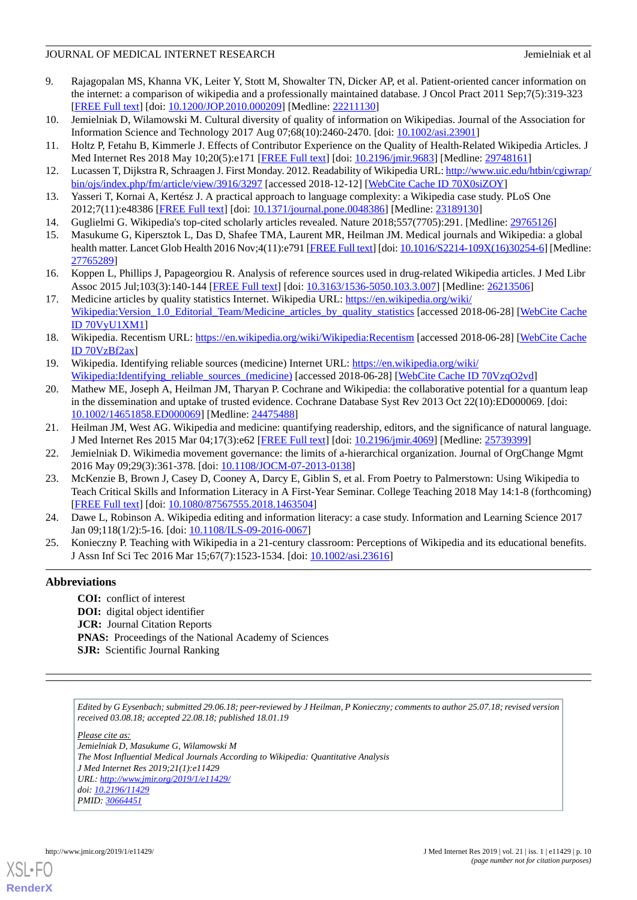- <span id="page-9-0"></span>9. Rajagopalan MS, Khanna VK, Leiter Y, Stott M, Showalter TN, Dicker AP, et al. Patient-oriented cancer information on the internet: a comparison of wikipedia and a professionally maintained database. J Oncol Pract 2011 Sep;7(5):319-323 [[FREE Full text](http://europepmc.org/abstract/MED/22211130)] [doi: [10.1200/JOP.2010.000209](http://dx.doi.org/10.1200/JOP.2010.000209)] [Medline: [22211130](http://www.ncbi.nlm.nih.gov/entrez/query.fcgi?cmd=Retrieve&db=PubMed&list_uids=22211130&dopt=Abstract)]
- <span id="page-9-2"></span><span id="page-9-1"></span>10. Jemielniak D, Wilamowski M. Cultural diversity of quality of information on Wikipedias. Journal of the Association for Information Science and Technology 2017 Aug 07;68(10):2460-2470. [doi: [10.1002/asi.23901\]](http://dx.doi.org/10.1002/asi.23901)
- <span id="page-9-3"></span>11. Holtz P, Fetahu B, Kimmerle J. Effects of Contributor Experience on the Quality of Health-Related Wikipedia Articles. J Med Internet Res 2018 May 10;20(5):e171 [\[FREE Full text\]](http://www.jmir.org/2018/5/e171/) [doi: [10.2196/jmir.9683\]](http://dx.doi.org/10.2196/jmir.9683) [Medline: [29748161\]](http://www.ncbi.nlm.nih.gov/entrez/query.fcgi?cmd=Retrieve&db=PubMed&list_uids=29748161&dopt=Abstract)
- <span id="page-9-4"></span>12. Lucassen T, Dijkstra R, Schraagen J. First Monday. 2012. Readability of Wikipedia URL: [http://www.uic.edu/htbin/cgiwrap/](http://www.uic.edu/htbin/cgiwrap/bin/ojs/index.php/fm/article/view/3916/3297) [bin/ojs/index.php/fm/article/view/3916/3297](http://www.uic.edu/htbin/cgiwrap/bin/ojs/index.php/fm/article/view/3916/3297) [accessed 2018-12-12] [\[WebCite Cache ID 70X0siZOY](http://www.webcitation.org/

                                70X0siZOY)]
- <span id="page-9-5"></span>13. Yasseri T, Kornai A, Kertész J. A practical approach to language complexity: a Wikipedia case study. PLoS One 2012;7(11):e48386 [\[FREE Full text](http://dx.plos.org/10.1371/journal.pone.0048386)] [doi: [10.1371/journal.pone.0048386\]](http://dx.doi.org/10.1371/journal.pone.0048386) [Medline: [23189130\]](http://www.ncbi.nlm.nih.gov/entrez/query.fcgi?cmd=Retrieve&db=PubMed&list_uids=23189130&dopt=Abstract)
- <span id="page-9-6"></span>14. Guglielmi G. Wikipedia's top-cited scholarly articles revealed. Nature 2018;557(7705):291. [Medline: [29765126](http://www.ncbi.nlm.nih.gov/entrez/query.fcgi?cmd=Retrieve&db=PubMed&list_uids=29765126&dopt=Abstract)]
- <span id="page-9-7"></span>15. Masukume G, Kipersztok L, Das D, Shafee TMA, Laurent MR, Heilman JM. Medical journals and Wikipedia: a global health matter. Lancet Glob Health 2016 Nov;4(11):e791 [[FREE Full text](http://linkinghub.elsevier.com/retrieve/pii/S2214-109X(16)30254-6)] [doi: [10.1016/S2214-109X\(16\)30254-6\]](http://dx.doi.org/10.1016/S2214-109X(16)30254-6) [Medline: [27765289](http://www.ncbi.nlm.nih.gov/entrez/query.fcgi?cmd=Retrieve&db=PubMed&list_uids=27765289&dopt=Abstract)]
- <span id="page-9-8"></span>16. Koppen L, Phillips J, Papageorgiou R. Analysis of reference sources used in drug-related Wikipedia articles. J Med Libr Assoc 2015 Jul;103(3):140-144 [\[FREE Full text](http://europepmc.org/abstract/MED/26213506)] [doi: [10.3163/1536-5050.103.3.007\]](http://dx.doi.org/10.3163/1536-5050.103.3.007) [Medline: [26213506\]](http://www.ncbi.nlm.nih.gov/entrez/query.fcgi?cmd=Retrieve&db=PubMed&list_uids=26213506&dopt=Abstract)
- <span id="page-9-9"></span>17. Medicine articles by quality statistics Internet. Wikipedia URL: [https://en.wikipedia.org/wiki/](https://en.wikipedia.org/wiki/Wikipedia:Version_1.0_Editorial_Team/Medicine_articles_by_quality_statistics) [Wikipedia:Version\\_1.0\\_Editorial\\_Team/Medicine\\_articles\\_by\\_quality\\_statistics](https://en.wikipedia.org/wiki/Wikipedia:Version_1.0_Editorial_Team/Medicine_articles_by_quality_statistics) [accessed 2018-06-28] [\[WebCite Cache](http://www.webcitation.org/

                                70VyU1XM1) [ID 70VyU1XM1](http://www.webcitation.org/

                                70VyU1XM1)]
- <span id="page-9-11"></span><span id="page-9-10"></span>18. Wikipedia. Recentism URL: <https://en.wikipedia.org/wiki/Wikipedia:Recentism> [accessed 2018-06-28] [\[WebCite Cache](http://www.webcitation.org/

                                70VzBf2ax) [ID 70VzBf2ax\]](http://www.webcitation.org/

                                70VzBf2ax)
- 19. Wikipedia. Identifying reliable sources (medicine) Internet URL: [https://en.wikipedia.org/wiki/](https://en.wikipedia.org/wiki/Wikipedia:Identifying_reliable_sources_(medicine)) [Wikipedia:Identifying\\_reliable\\_sources\\_\(medicine\)](https://en.wikipedia.org/wiki/Wikipedia:Identifying_reliable_sources_(medicine)) [accessed 2018-06-28] [\[WebCite Cache ID 70VzqO2vd](http://www.webcitation.org/

                                70VzqO2vd)]
- <span id="page-9-12"></span>20. Mathew ME, Joseph A, Heilman JM, Tharyan P. Cochrane and Wikipedia: the collaborative potential for a quantum leap in the dissemination and uptake of trusted evidence. Cochrane Database Syst Rev 2013 Oct 22(10):ED000069. [doi: [10.1002/14651858.ED000069\]](http://dx.doi.org/10.1002/14651858.ED000069) [Medline: [24475488](http://www.ncbi.nlm.nih.gov/entrez/query.fcgi?cmd=Retrieve&db=PubMed&list_uids=24475488&dopt=Abstract)]
- <span id="page-9-13"></span>21. Heilman JM, West AG. Wikipedia and medicine: quantifying readership, editors, and the significance of natural language. J Med Internet Res 2015 Mar 04;17(3):e62 [[FREE Full text](http://www.jmir.org/2015/3/e62/)] [doi: [10.2196/jmir.4069\]](http://dx.doi.org/10.2196/jmir.4069) [Medline: [25739399](http://www.ncbi.nlm.nih.gov/entrez/query.fcgi?cmd=Retrieve&db=PubMed&list_uids=25739399&dopt=Abstract)]
- <span id="page-9-14"></span>22. Jemielniak D. Wikimedia movement governance: the limits of a-hierarchical organization. Journal of OrgChange Mgmt 2016 May 09;29(3):361-378. [doi: [10.1108/JOCM-07-2013-0138\]](http://dx.doi.org/10.1108/JOCM-07-2013-0138)
- <span id="page-9-15"></span>23. McKenzie B, Brown J, Casey D, Cooney A, Darcy E, Giblin S, et al. From Poetry to Palmerstown: Using Wikipedia to Teach Critical Skills and Information Literacy in A First-Year Seminar. College Teaching 2018 May 14:1-8 (forthcoming) [[FREE Full text](https://doi.org/10.1080/87567555.2018.1463504)] [doi: [10.1080/87567555.2018.1463504\]](http://dx.doi.org/10.1080/87567555.2018.1463504)
- 24. Dawe L, Robinson A. Wikipedia editing and information literacy: a case study. Information and Learning Science 2017 Jan 09;118(1/2):5-16. [doi: [10.1108/ILS-09-2016-0067](http://dx.doi.org/10.1108/ILS-09-2016-0067)]
- 25. Konieczny P. Teaching with Wikipedia in a 21-century classroom: Perceptions of Wikipedia and its educational benefits. J Assn Inf Sci Tec 2016 Mar 15;67(7):1523-1534. [doi: [10.1002/asi.23616](http://dx.doi.org/10.1002/asi.23616)]

### **Abbreviations**

**COI:** conflict of interest **DOI:** digital object identifier **JCR:** Journal Citation Reports **PNAS:** Proceedings of the National Academy of Sciences **SJR:** Scientific Journal Ranking

*Edited by G Eysenbach; submitted 29.06.18; peer-reviewed by J Heilman, P Konieczny; comments to author 25.07.18; revised version received 03.08.18; accepted 22.08.18; published 18.01.19*

*Please cite as: Jemielniak D, Masukume G, Wilamowski M The Most Influential Medical Journals According to Wikipedia: Quantitative Analysis J Med Internet Res 2019;21(1):e11429 URL: <http://www.jmir.org/2019/1/e11429/> doi: [10.2196/11429](http://dx.doi.org/10.2196/11429) PMID: [30664451](http://www.ncbi.nlm.nih.gov/entrez/query.fcgi?cmd=Retrieve&db=PubMed&list_uids=30664451&dopt=Abstract)*